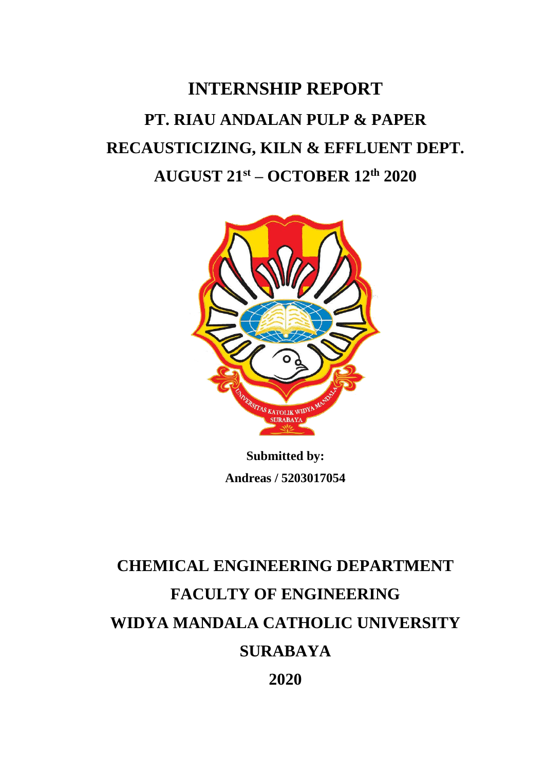# **INTERNSHIP REPORT PT. RIAU ANDALAN PULP & PAPER RECAUSTICIZING, KILN & EFFLUENT DEPT. AUGUST 21st – OCTOBER 12th 2020**



**Submitted by: Andreas / 5203017054**

# **CHEMICAL ENGINEERING DEPARTMENT FACULTY OF ENGINEERING WIDYA MANDALA CATHOLIC UNIVERSITY SURABAYA 2020**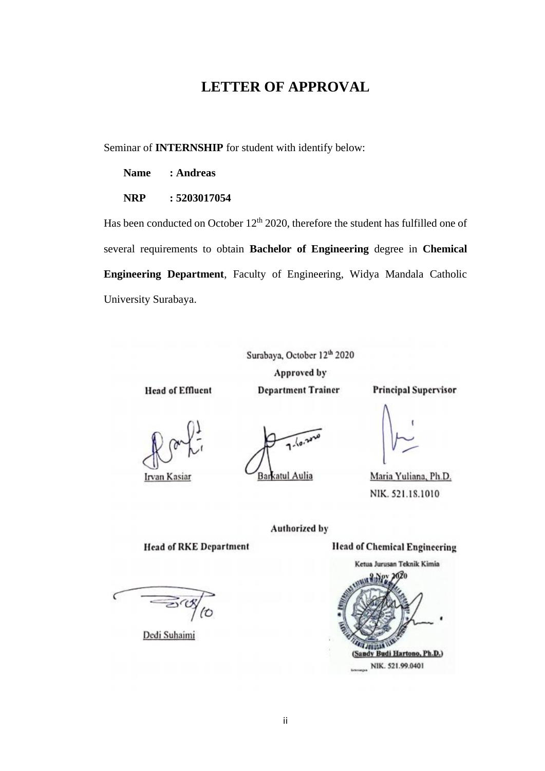### **LETTER OF APPROVAL**

Seminar of **INTERNSHIP** for student with identify below:

**Name : Andreas**

#### **NRP : 5203017054**

Has been conducted on October  $12<sup>th</sup>$  2020, therefore the student has fulfilled one of several requirements to obtain **Bachelor of Engineering** degree in **Chemical Engineering Department**, Faculty of Engineering, Widya Mandala Catholic University Surabaya.

Surabaya, October 12<sup>th</sup> 2020

Approved by **Department Trainer** 

**Principal Supervisor** 

**Head of Effluent** 

Irvan Kasiar

 $7.10.20$ Barkatul Aulia

Maria Yuliana, Ph.D. NIK. 521.18.1010

#### **Authorized by**

**Head of RKE Department** 

 $\sim$ 

Dedi Suhaimi

#### **Head of Chemical Engineering**

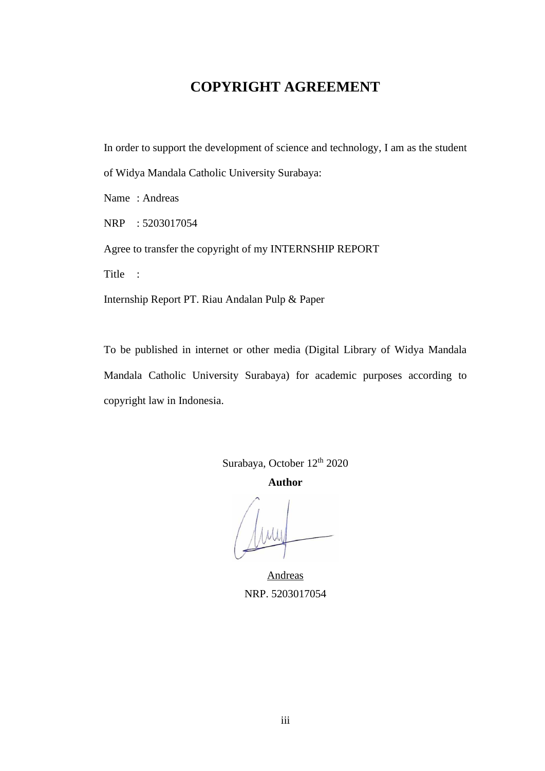### **COPYRIGHT AGREEMENT**

In order to support the development of science and technology, I am as the student

of Widya Mandala Catholic University Surabaya:

Name : Andreas

NRP : 5203017054

Agree to transfer the copyright of my INTERNSHIP REPORT

Title :

Internship Report PT. Riau Andalan Pulp & Paper

To be published in internet or other media (Digital Library of Widya Mandala Mandala Catholic University Surabaya) for academic purposes according to copyright law in Indonesia.

> Surabaya, October 12<sup>th</sup> 2020 **Author**

Andreas NRP. 5203017054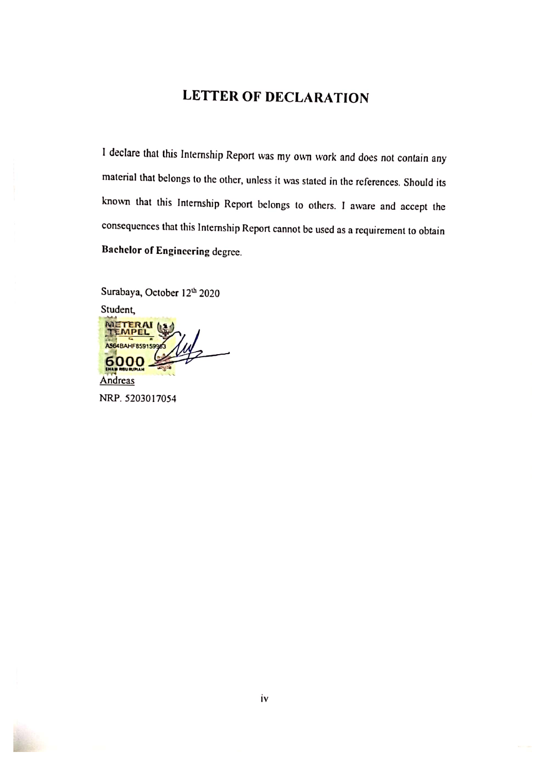## **LETTER OF DECLARATION**

I declare that this Internship Report was my own work and does not contain any material that belongs to the other, unless it was stated in the references. Should its known that this Internship Report belongs to others. I aware and accept the consequences that this Internship Report cannot be used as a requirement to obtain Bachelor of Engineering degree.

Surabaya, October 12th 2020

Student, **TERAI 63** ME **MPEL HFR591590** Andreas NRP. 5203017054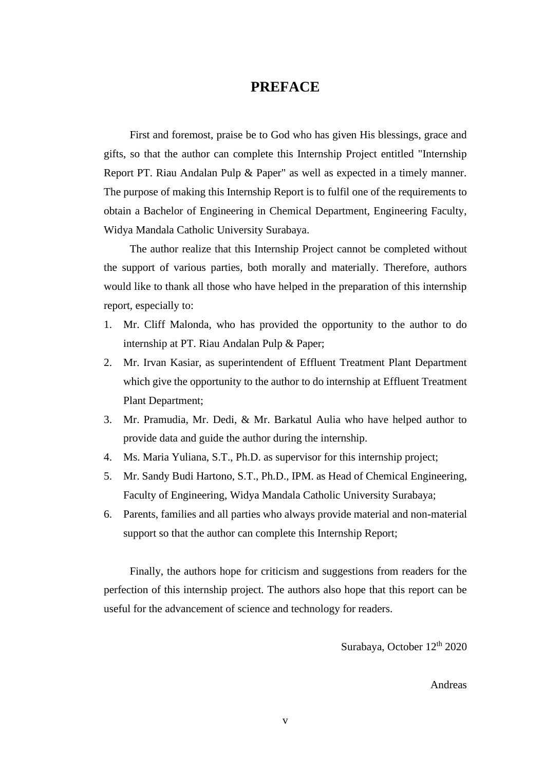#### **PREFACE**

First and foremost, praise be to God who has given His blessings, grace and gifts, so that the author can complete this Internship Project entitled "Internship Report PT. Riau Andalan Pulp & Paper" as well as expected in a timely manner. The purpose of making this Internship Report is to fulfil one of the requirements to obtain a Bachelor of Engineering in Chemical Department, Engineering Faculty, Widya Mandala Catholic University Surabaya.

The author realize that this Internship Project cannot be completed without the support of various parties, both morally and materially. Therefore, authors would like to thank all those who have helped in the preparation of this internship report, especially to:

- 1. Mr. Cliff Malonda, who has provided the opportunity to the author to do internship at PT. Riau Andalan Pulp & Paper;
- 2. Mr. Irvan Kasiar, as superintendent of Effluent Treatment Plant Department which give the opportunity to the author to do internship at Effluent Treatment Plant Department;
- 3. Mr. Pramudia, Mr. Dedi, & Mr. Barkatul Aulia who have helped author to provide data and guide the author during the internship.
- 4. Ms. Maria Yuliana, S.T., Ph.D. as supervisor for this internship project;
- 5. Mr. Sandy Budi Hartono, S.T., Ph.D., IPM. as Head of Chemical Engineering, Faculty of Engineering, Widya Mandala Catholic University Surabaya;
- 6. Parents, families and all parties who always provide material and non-material support so that the author can complete this Internship Report;

Finally, the authors hope for criticism and suggestions from readers for the perfection of this internship project. The authors also hope that this report can be useful for the advancement of science and technology for readers.

Surabaya, October 12<sup>th</sup> 2020

Andreas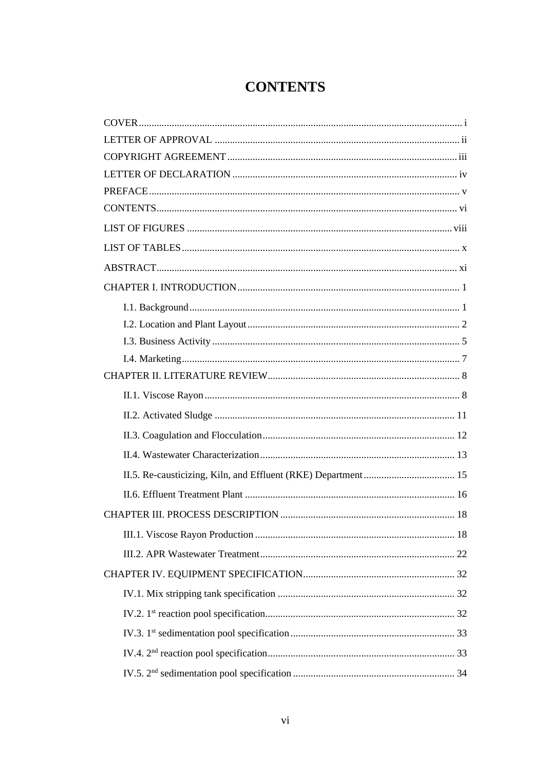# **CONTENTS**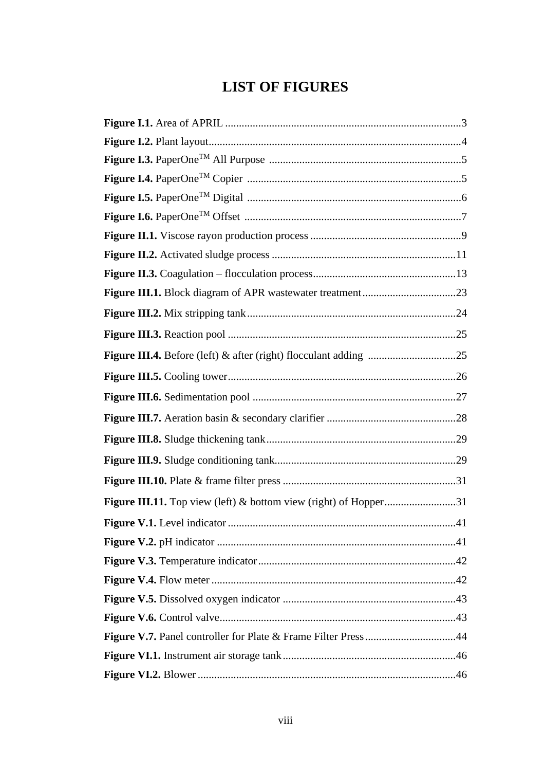# **LIST OF FIGURES**

| Figure III.11. Top view (left) & bottom view (right) of Hopper31 |  |
|------------------------------------------------------------------|--|
|                                                                  |  |
|                                                                  |  |
|                                                                  |  |
|                                                                  |  |
|                                                                  |  |
|                                                                  |  |
|                                                                  |  |
|                                                                  |  |
|                                                                  |  |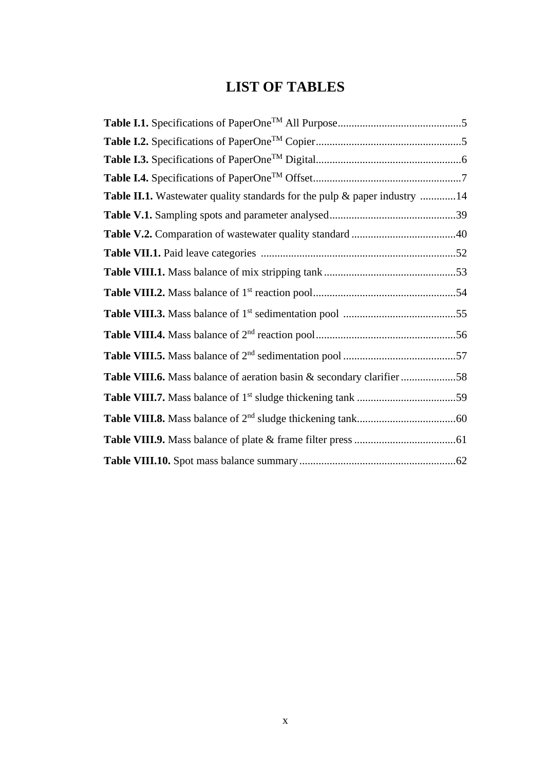## **LIST OF TABLES**

| Table II.1. Wastewater quality standards for the pulp & paper industry 14 |
|---------------------------------------------------------------------------|
|                                                                           |
|                                                                           |
|                                                                           |
|                                                                           |
|                                                                           |
|                                                                           |
|                                                                           |
|                                                                           |
|                                                                           |
|                                                                           |
|                                                                           |
|                                                                           |
|                                                                           |